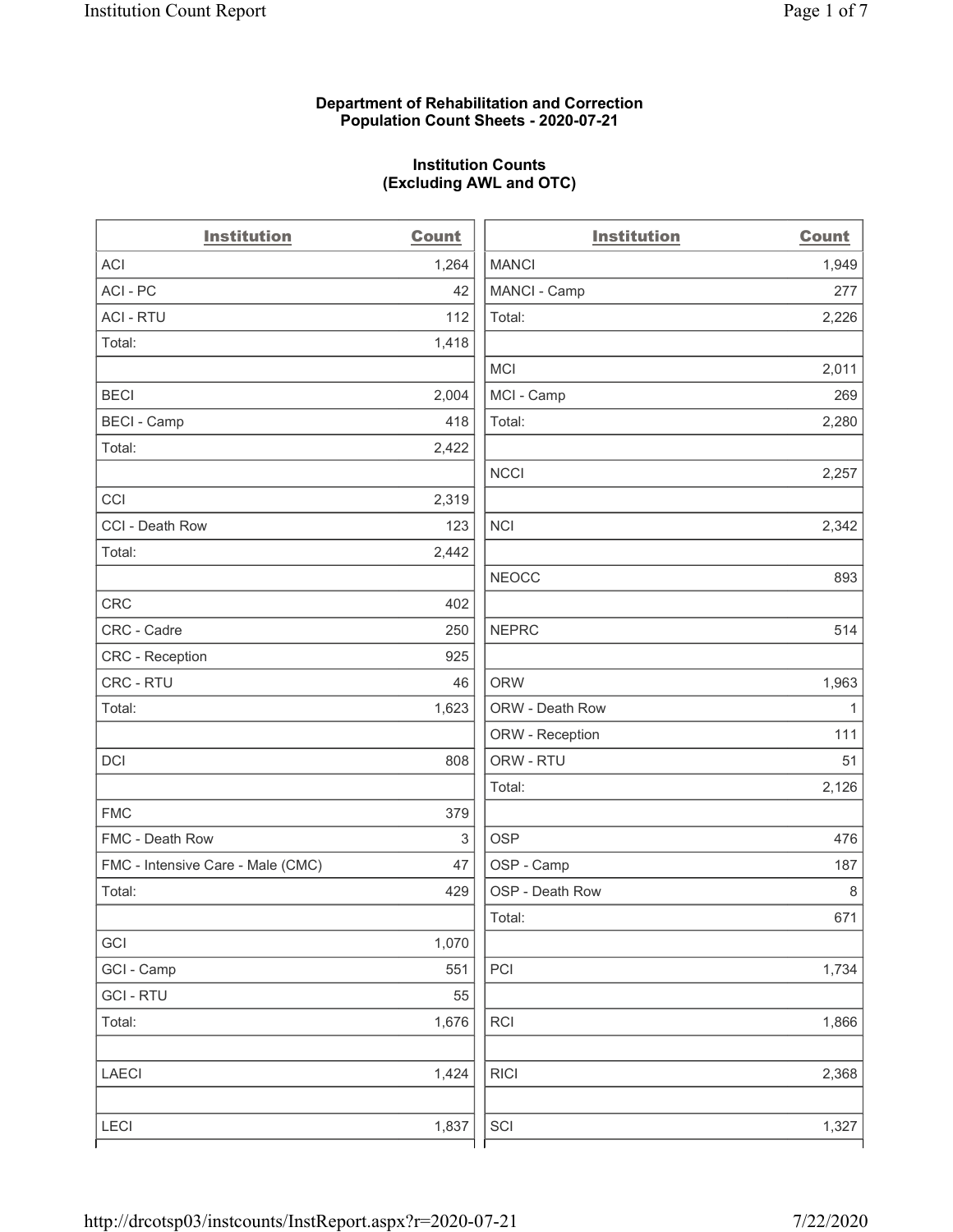#### Department of Rehabilitation and Correction Population Count Sheets - 2020-07-21

# Institution Counts (Excluding AWL and OTC)

 $\overline{a}$ 

| <b>Institution</b>                | Count | <b>Institution</b> | <b>Count</b> |
|-----------------------------------|-------|--------------------|--------------|
| <b>ACI</b>                        | 1,264 | <b>MANCI</b>       | 1,949        |
| ACI-PC                            | 42    | MANCI - Camp       | 277          |
| <b>ACI - RTU</b>                  | 112   | Total:             | 2,226        |
| Total:                            | 1,418 |                    |              |
|                                   |       | <b>MCI</b>         | 2,011        |
| <b>BECI</b>                       | 2,004 | MCI - Camp         | 269          |
| <b>BECI - Camp</b>                | 418   | Total:             | 2,280        |
| Total:                            | 2,422 |                    |              |
|                                   |       | <b>NCCI</b>        | 2,257        |
| CCI                               | 2,319 |                    |              |
| CCI - Death Row                   | 123   | <b>NCI</b>         | 2,342        |
| Total:                            | 2,442 |                    |              |
|                                   |       | <b>NEOCC</b>       | 893          |
| <b>CRC</b>                        | 402   |                    |              |
| CRC - Cadre                       | 250   | <b>NEPRC</b>       | 514          |
| CRC - Reception                   | 925   |                    |              |
| CRC - RTU                         | 46    | <b>ORW</b>         | 1,963        |
| Total:                            | 1,623 | ORW - Death Row    | $\mathbf{1}$ |
|                                   |       | ORW - Reception    | 111          |
| DCI                               | 808   | ORW - RTU          | 51           |
|                                   |       | Total:             | 2,126        |
| <b>FMC</b>                        | 379   |                    |              |
| FMC - Death Row                   | 3     | <b>OSP</b>         | 476          |
| FMC - Intensive Care - Male (CMC) | 47    | OSP - Camp         | 187          |
| Total:                            | 429   | OSP - Death Row    | 8            |
|                                   |       | Total:             | 671          |
| GCI                               | 1,070 |                    |              |
| GCI - Camp                        | 551   | PCI                | 1,734        |
| <b>GCI-RTU</b>                    | 55    |                    |              |
| Total:                            | 1,676 | <b>RCI</b>         | 1,866        |
| <b>LAECI</b>                      | 1,424 | <b>RICI</b>        | 2,368        |
| LECI                              | 1,837 | SCI                | 1,327        |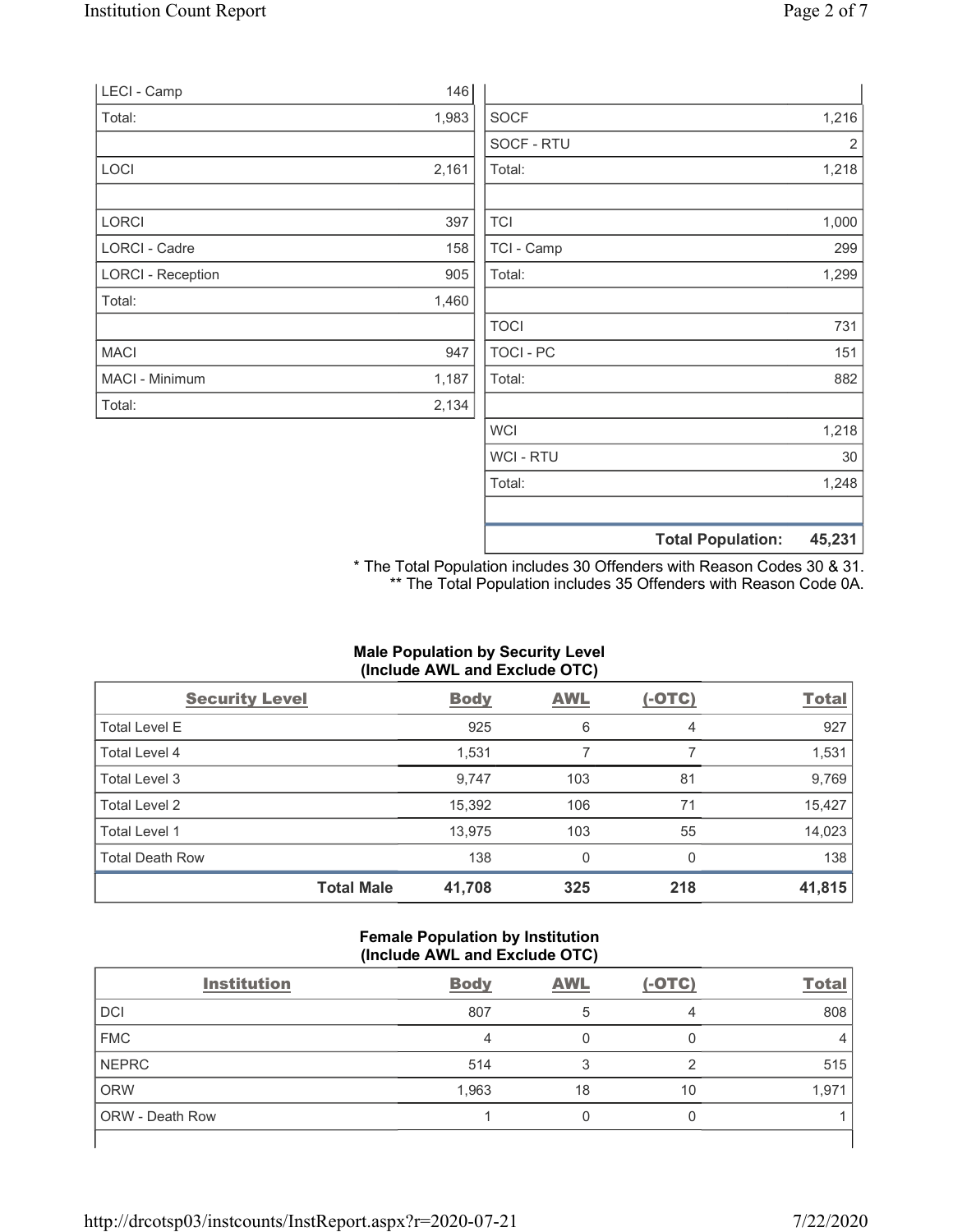| LECI - Camp              | 146   |             |       |
|--------------------------|-------|-------------|-------|
| Total:                   | 1,983 | <b>SOCF</b> | 1,216 |
|                          |       | SOCF - RTU  | 2     |
| LOCI                     | 2,161 | Total:      | 1,218 |
| LORCI                    | 397   | <b>TCI</b>  | 1,000 |
| LORCI - Cadre            | 158   | TCI - Camp  | 299   |
| <b>LORCI - Reception</b> | 905   | Total:      | 1,299 |
| Total:                   | 1,460 |             |       |
|                          |       | <b>TOCI</b> | 731   |
| <b>MACI</b>              | 947   | TOCI - PC   | 151   |
| MACI - Minimum           | 1,187 | Total:      | 882   |
| Total:                   | 2,134 |             |       |
|                          |       | <b>WCI</b>  | 1,218 |
|                          |       | WCI - RTU   | 30    |
|                          |       | Total:      | 1,248 |

\* The Total Population includes 30 Offenders with Reason Codes 30 & 31. \*\* The Total Population includes 35 Offenders with Reason Code 0A.

Total Population: 45,231

### Male Population by Security Level (Include AWL and Exclude OTC)

| <b>Security Level</b>  | <b>Body</b>                 | <b>AWL</b> | $(-OTC)$ | <b>Total</b> |
|------------------------|-----------------------------|------------|----------|--------------|
| <b>Total Level E</b>   | 925                         | 6          | 4        | 927          |
| Total Level 4          | 1,531                       |            |          | 1,531        |
| Total Level 3          | 9,747                       | 103        | 81       | 9,769        |
| Total Level 2          | 15,392                      | 106        | 71       | 15,427       |
| Total Level 1          | 13,975                      | 103        | 55       | 14,023       |
| <b>Total Death Row</b> | 138                         | 0          | $\Omega$ | 138          |
|                        | <b>Total Male</b><br>41,708 | 325        | 218      | 41,815       |

#### Female Population by Institution (Include AWL and Exclude OTC)

| <b>Institution</b> | <b>Body</b> | <b>AWL</b> | $(-OTC)$ | <b>Total</b> |
|--------------------|-------------|------------|----------|--------------|
| DCI                | 807         |            |          | 808          |
| <b>FMC</b>         |             |            |          |              |
| NEPRC              | 514         |            |          | 515          |
| ORW                | 1,963       | 18         | 10       | 1,971        |
| ORW - Death Row    |             |            |          |              |
|                    |             |            |          |              |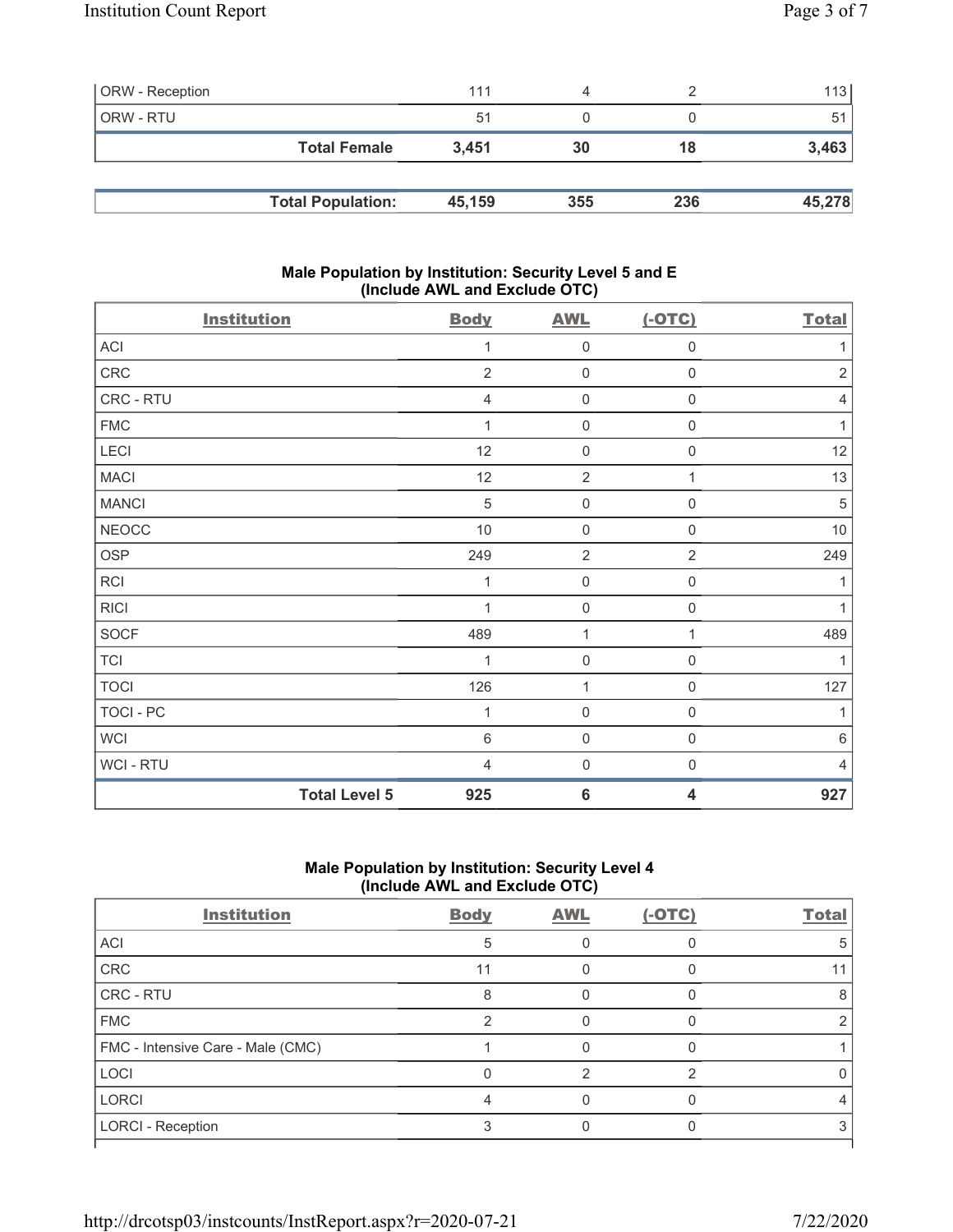| ORW - Reception |                          | 111    | 4   |     | 113    |
|-----------------|--------------------------|--------|-----|-----|--------|
| ORW - RTU       |                          | 51     |     |     | 51     |
|                 | <b>Total Female</b>      | 3.451  | 30  | 18  | 3,463  |
|                 |                          |        |     |     |        |
|                 | <b>Total Population:</b> | 45,159 | 355 | 236 | 45,278 |

### Male Population by Institution: Security Level 5 and E (Include AWL and Exclude OTC)

| <b>Institution</b>   | <b>Body</b>    | <b>AWL</b>          | $(-OTC)$                | <b>Total</b>   |
|----------------------|----------------|---------------------|-------------------------|----------------|
| ACI                  | 1              | 0                   | $\mathbf 0$             |                |
| CRC                  | $\overline{2}$ | $\mathsf 0$         | $\mathbf 0$             | $\overline{2}$ |
| CRC - RTU            | 4              | $\mathsf 0$         | $\boldsymbol{0}$        | 4              |
| <b>FMC</b>           | 1              | $\mathsf 0$         | $\mathbf 0$             |                |
| LECI                 | 12             | $\mathsf 0$         | $\mathbf 0$             | 12             |
| <b>MACI</b>          | 12             | $\overline{2}$      | 1                       | 13             |
| <b>MANCI</b>         | $\sqrt{5}$     | $\mathsf{O}\xspace$ | $\mathbf 0$             | 5              |
| <b>NEOCC</b>         | $10$           | $\mathsf 0$         | $\mathbf 0$             | 10             |
| <b>OSP</b>           | 249            | $\sqrt{2}$          | $\sqrt{2}$              | 249            |
| RCI                  | 1              | 0                   | $\mathbf 0$             |                |
| <b>RICI</b>          | 1              | $\mathsf 0$         | $\boldsymbol{0}$        |                |
| <b>SOCF</b>          | 489            | $\mathbf 1$         | 1                       | 489            |
| <b>TCI</b>           | 1              | $\mathbf 0$         | $\mathbf 0$             |                |
| <b>TOCI</b>          | 126            | $\mathbf{1}$        | $\mathbf 0$             | 127            |
| <b>TOCI - PC</b>     | 1              | $\mathsf 0$         | $\mathbf 0$             | 1              |
| <b>WCI</b>           | $\,6\,$        | $\mathsf 0$         | $\mathbf 0$             | $\,6\,$        |
| <b>WCI-RTU</b>       | 4              | $\boldsymbol{0}$    | $\mathbf 0$             | 4              |
| <b>Total Level 5</b> | 925            | $\bf 6$             | $\overline{\mathbf{4}}$ | 927            |

## Male Population by Institution: Security Level 4 (Include AWL and Exclude OTC)

| <b>Institution</b>                | <b>Body</b> | <b>AWL</b> | $(-OTC)$ | <b>Total</b> |
|-----------------------------------|-------------|------------|----------|--------------|
| <b>ACI</b>                        | 5           |            |          |              |
| CRC                               | 11          |            |          |              |
| CRC - RTU                         | 8           |            |          |              |
| <b>FMC</b>                        |             |            |          |              |
| FMC - Intensive Care - Male (CMC) |             |            |          |              |
| LOCI                              |             |            |          |              |
| LORCI                             |             |            |          |              |
| LORCI - Reception                 |             |            |          |              |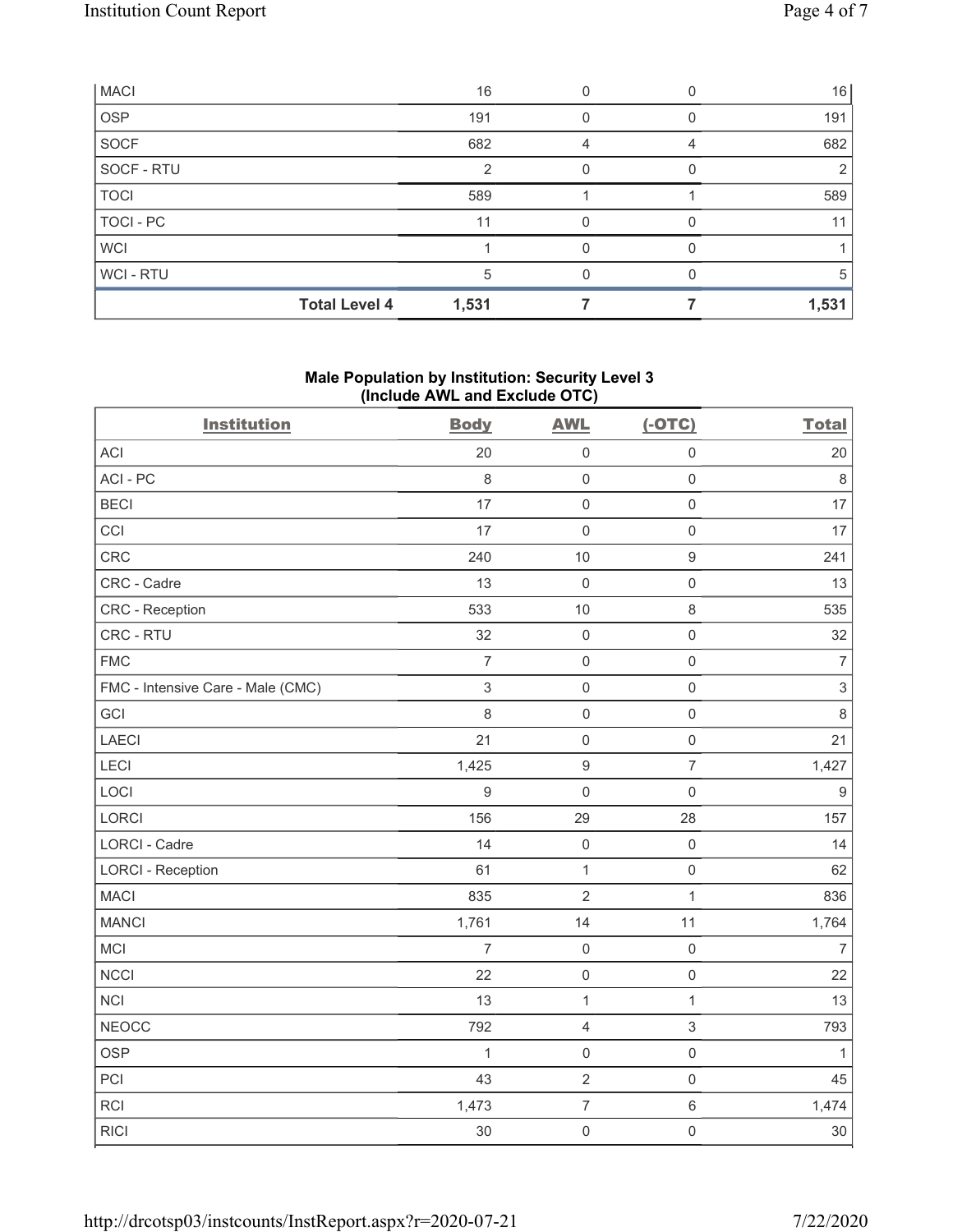| <b>MACI</b>          | 16    |  | 16    |
|----------------------|-------|--|-------|
| <b>OSP</b>           | 191   |  | 191   |
| SOCF                 | 682   |  | 682   |
| SOCF - RTU           | ◠     |  |       |
| <b>TOCI</b>          | 589   |  | 589   |
| TOCI-PC              | 11    |  |       |
| <b>WCI</b>           |       |  |       |
| WCI-RTU              | 5     |  |       |
| <b>Total Level 4</b> | 1,531 |  | 1,531 |

# Male Population by Institution: Security Level 3 (Include AWL and Exclude OTC)

| <b>Institution</b>                | <b>Body</b>    | <b>AWL</b>          | $(-OTC)$                  | <b>Total</b>     |
|-----------------------------------|----------------|---------------------|---------------------------|------------------|
| <b>ACI</b>                        | 20             | $\mathsf 0$         | $\mathbf 0$               | 20               |
| ACI-PC                            | 8              | $\mathsf{O}\xspace$ | $\mathbf 0$               | 8                |
| <b>BECI</b>                       | 17             | $\mathbf 0$         | $\mathbf 0$               | 17               |
| CCI                               | 17             | $\mathbf 0$         | $\mathbf 0$               | 17               |
| CRC                               | 240            | 10                  | $\boldsymbol{9}$          | 241              |
| CRC - Cadre                       | 13             | $\mathbf 0$         | $\mathbf 0$               | 13               |
| CRC - Reception                   | 533            | 10                  | 8                         | 535              |
| CRC - RTU                         | 32             | $\mathbf 0$         | $\mathbf 0$               | 32               |
| <b>FMC</b>                        | $\overline{7}$ | $\mathbf 0$         | $\mathbf 0$               | $\overline{7}$   |
| FMC - Intensive Care - Male (CMC) | 3              | $\mathbf 0$         | $\mathbf 0$               | $\sqrt{3}$       |
| GCI                               | 8              | $\,0\,$             | $\mathbf 0$               | 8                |
| LAECI                             | 21             | $\mathbf 0$         | $\mathbf 0$               | 21               |
| LECI                              | 1,425          | $\hbox{9}$          | $\overline{7}$            | 1,427            |
| LOCI                              | 9              | $\mathsf{O}\xspace$ | $\mathbf 0$               | $\boldsymbol{9}$ |
| LORCI                             | 156            | 29                  | 28                        | 157              |
| LORCI - Cadre                     | 14             | $\mathbf 0$         | $\mathbf 0$               | 14               |
| <b>LORCI - Reception</b>          | 61             | $\mathbf{1}$        | $\mathbf 0$               | 62               |
| <b>MACI</b>                       | 835            | $\overline{2}$      | $\mathbf{1}$              | 836              |
| <b>MANCI</b>                      | 1,761          | 14                  | 11                        | 1,764            |
| MCI                               | $\overline{7}$ | $\mathbf 0$         | $\mathbf 0$               | 7                |
| <b>NCCI</b>                       | 22             | $\mathbf 0$         | $\mathbf 0$               | 22               |
| <b>NCI</b>                        | 13             | $\mathbf{1}$        | $\mathbf{1}$              | 13               |
| <b>NEOCC</b>                      | 792            | $\overline{4}$      | $\ensuremath{\mathsf{3}}$ | 793              |
| <b>OSP</b>                        | $\mathbf 1$    | $\mathbf 0$         | $\mathbf 0$               | $\mathbf{1}$     |
| PCI                               | 43             | $\sqrt{2}$          | $\mathbf 0$               | 45               |
| <b>RCI</b>                        | 1,473          | $\overline{7}$      | $\,6\,$                   | 1,474            |
| <b>RICI</b>                       | 30             | $\mathsf 0$         | $\mathbf 0$               | 30               |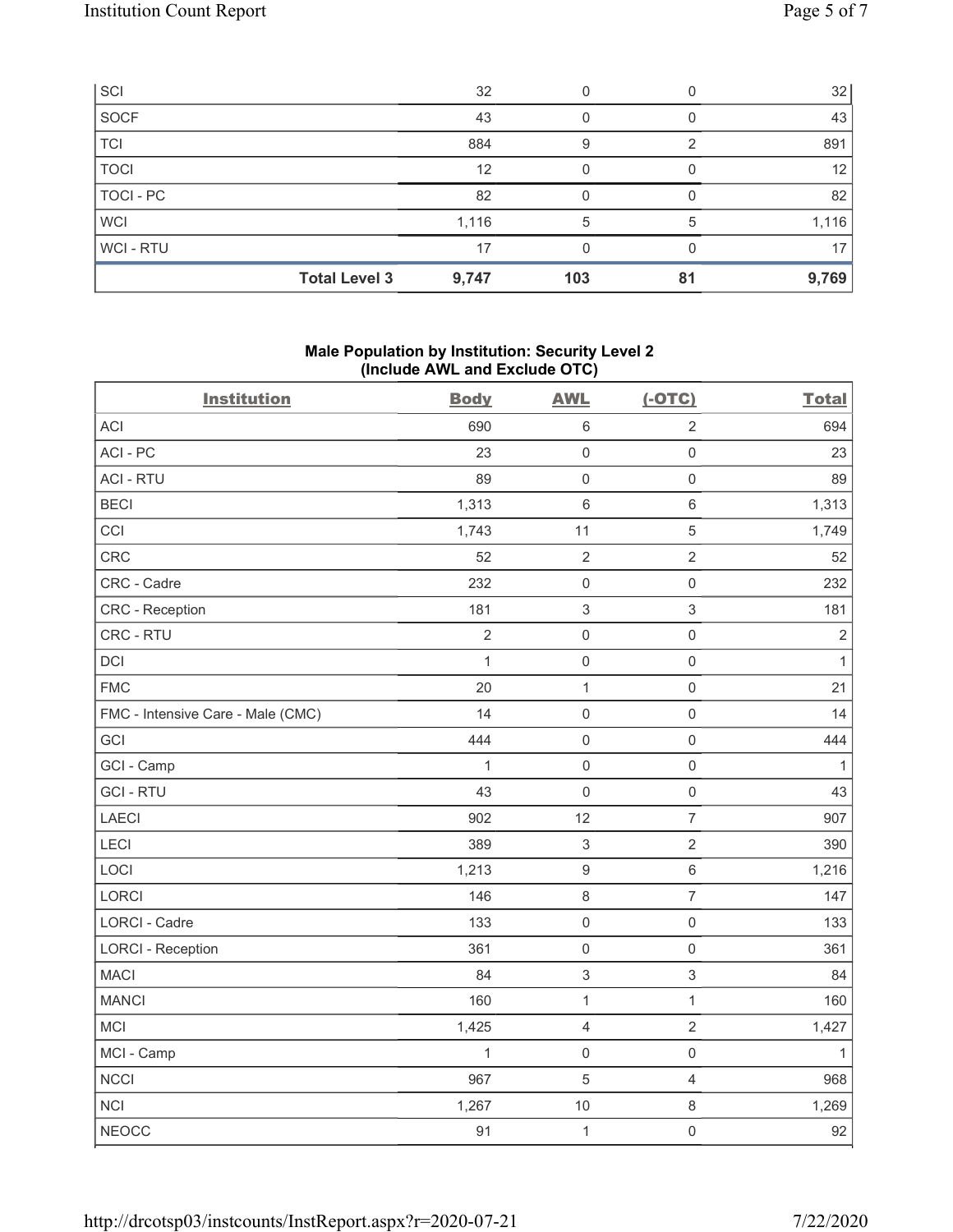| SCI                  | 32    |     |    | 32              |
|----------------------|-------|-----|----|-----------------|
| SOCF                 | 43    |     |    | 43              |
| <b>TCI</b>           | 884   |     |    | 891             |
| <b>TOCI</b>          | 12    |     |    | 12 <sub>1</sub> |
| TOCI-PC              | 82    |     |    | 82              |
| <b>WCI</b>           | 1,116 | 5   |    | 1,116           |
| WCI - RTU            | 17    |     |    | 17              |
| <b>Total Level 3</b> | 9,747 | 103 | 81 | 9,769           |

### Male Population by Institution: Security Level 2 (Include AWL and Exclude OTC)

| <b>Institution</b>                | <b>Body</b>    | <b>AWL</b>                | $(-OTC)$       | <b>Total</b> |
|-----------------------------------|----------------|---------------------------|----------------|--------------|
| <b>ACI</b>                        | 690            | $\,6\,$                   | $\sqrt{2}$     | 694          |
| ACI-PC                            | 23             | $\mathsf{O}\xspace$       | $\mathbf 0$    | 23           |
| <b>ACI - RTU</b>                  | 89             | $\mathsf{O}\xspace$       | $\mathbf 0$    | 89           |
| <b>BECI</b>                       | 1,313          | $\,6\,$                   | $\,6\,$        | 1,313        |
| CCI                               | 1,743          | 11                        | $\sqrt{5}$     | 1,749        |
| <b>CRC</b>                        | 52             | $\overline{2}$            | $\overline{2}$ | 52           |
| CRC - Cadre                       | 232            | $\mathsf 0$               | $\mathbf 0$    | 232          |
| CRC - Reception                   | 181            | $\mathsf 3$               | $\sqrt{3}$     | 181          |
| CRC - RTU                         | $\overline{2}$ | $\mathsf{O}\xspace$       | $\mathbf 0$    | $\sqrt{2}$   |
| <b>DCI</b>                        | 1              | $\mathsf{O}\xspace$       | $\mathbf 0$    | $\mathbf{1}$ |
| <b>FMC</b>                        | 20             | $\mathbf{1}$              | $\mathbf 0$    | 21           |
| FMC - Intensive Care - Male (CMC) | 14             | $\mathsf{O}\xspace$       | $\mathbf 0$    | 14           |
| GCI                               | 444            | $\mathsf{O}\xspace$       | $\mathbf 0$    | 444          |
| GCI - Camp                        | $\mathbf 1$    | $\mathbf 0$               | $\mathbf 0$    | 1            |
| <b>GCI-RTU</b>                    | 43             | $\mathbf 0$               | $\mathbf 0$    | 43           |
| LAECI                             | 902            | 12                        | $\overline{7}$ | 907          |
| LECI                              | 389            | 3                         | $\sqrt{2}$     | 390          |
| LOCI                              | 1,213          | $\boldsymbol{9}$          | $\,6\,$        | 1,216        |
| <b>LORCI</b>                      | 146            | $\,8\,$                   | $\overline{7}$ | 147          |
| <b>LORCI - Cadre</b>              | 133            | $\mathsf{O}\xspace$       | $\mathbf 0$    | 133          |
| <b>LORCI - Reception</b>          | 361            | $\mathsf{O}\xspace$       | $\mathbf 0$    | 361          |
| <b>MACI</b>                       | 84             | $\ensuremath{\mathsf{3}}$ | $\sqrt{3}$     | 84           |
| <b>MANCI</b>                      | 160            | $\mathbf{1}$              | $\mathbf{1}$   | 160          |
| <b>MCI</b>                        | 1,425          | $\sqrt{4}$                | $\overline{2}$ | 1,427        |
| MCI - Camp                        | $\mathbf{1}$   | $\mathsf{O}\xspace$       | $\mathbf 0$    | 1            |
| <b>NCCI</b>                       | 967            | 5                         | $\overline{4}$ | 968          |
| <b>NCI</b>                        | 1,267          | $10$                      | $\,8\,$        | 1,269        |
| <b>NEOCC</b>                      | 91             | $\mathbf{1}$              | $\mathbf 0$    | 92           |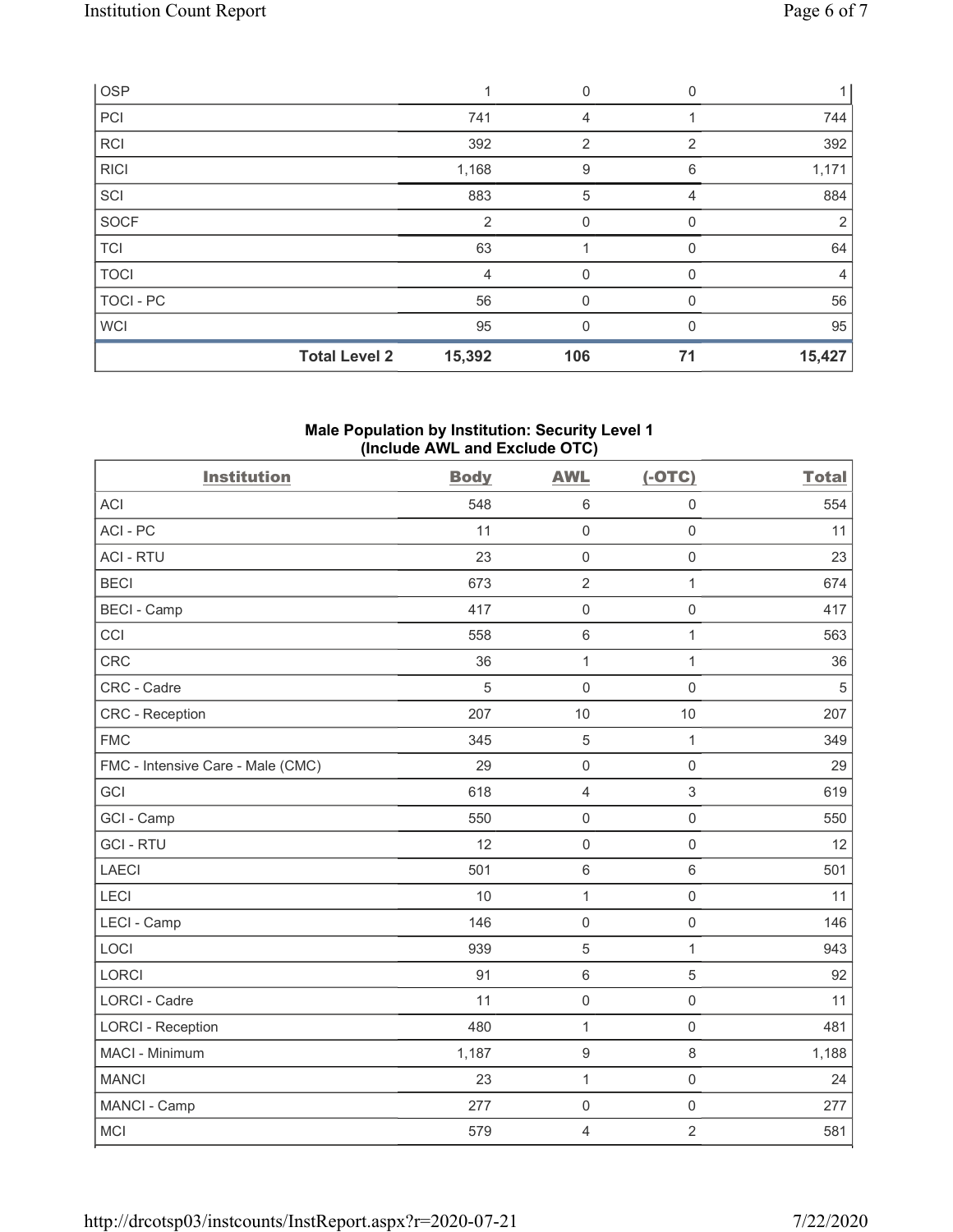| <b>Total Level 2</b> | 15,392         | 106 | 71             | 15,427 |
|----------------------|----------------|-----|----------------|--------|
| <b>WCI</b>           | 95             | N   | $\Omega$       | 95     |
| TOCI-PC              | 56             | 0   | $\Omega$       | 56     |
| <b>TOCI</b>          | 4              |     |                | 4      |
| TCI                  | 63             |     | $\Omega$       | 64     |
| SOCF                 | $\overline{2}$ | 0   | 0              | 2      |
| SCI                  | 883            | 5   | 4              | 884    |
| RICI                 | 1,168          | 9   | 6              | 1,171  |
| RCI                  | 392            | 2   | $\overline{2}$ | 392    |
| PC                   | 741            |     |                | 744    |
| <b>OSP</b>           |                | 0   | 0              |        |

### Male Population by Institution: Security Level 1 (Include AWL and Exclude OTC)

| <b>Institution</b>                | <b>Body</b> | <b>AWL</b>          | $(-OTC)$       | <b>Total</b> |
|-----------------------------------|-------------|---------------------|----------------|--------------|
| <b>ACI</b>                        | 548         | $6\,$               | $\mathbf 0$    | 554          |
| ACI - PC                          | 11          | $\mathsf{O}\xspace$ | $\mathbf 0$    | 11           |
| <b>ACI - RTU</b>                  | 23          | $\mathsf 0$         | $\mathbf 0$    | 23           |
| <b>BECI</b>                       | 673         | $\overline{2}$      | $\mathbf{1}$   | 674          |
| <b>BECI - Camp</b>                | 417         | $\mathsf 0$         | $\mathbf 0$    | 417          |
| CCI                               | 558         | $\,6\,$             | $\mathbf{1}$   | 563          |
| <b>CRC</b>                        | 36          | $\mathbf{1}$        | $\mathbf{1}$   | 36           |
| CRC - Cadre                       | 5           | $\mathbf 0$         | $\mathbf 0$    | 5            |
| <b>CRC</b> - Reception            | 207         | 10                  | 10             | 207          |
| <b>FMC</b>                        | 345         | 5                   | $\mathbf{1}$   | 349          |
| FMC - Intensive Care - Male (CMC) | 29          | $\mathsf{O}\xspace$ | $\mathbf 0$    | 29           |
| GCI                               | 618         | $\overline{4}$      | $\mathfrak{S}$ | 619          |
| GCI - Camp                        | 550         | $\mathsf 0$         | $\mathbf 0$    | 550          |
| <b>GCI-RTU</b>                    | 12          | $\mathbf 0$         | $\mathsf 0$    | 12           |
| <b>LAECI</b>                      | 501         | $\,6\,$             | $\,6\,$        | 501          |
| LECI                              | 10          | $\mathbf{1}$        | $\mathbf 0$    | 11           |
| LECI - Camp                       | 146         | $\mathsf{O}\xspace$ | $\mathbf 0$    | 146          |
| LOCI                              | 939         | 5                   | 1              | 943          |
| <b>LORCI</b>                      | 91          | $\,6\,$             | 5              | 92           |
| <b>LORCI - Cadre</b>              | 11          | $\mathsf{O}\xspace$ | $\mathbf 0$    | 11           |
| <b>LORCI - Reception</b>          | 480         | $\mathbf{1}$        | $\mathbf 0$    | 481          |
| MACI - Minimum                    | 1,187       | $\boldsymbol{9}$    | $\,8\,$        | 1,188        |
| <b>MANCI</b>                      | 23          | $\mathbf{1}$        | $\mathbf 0$    | 24           |
| MANCI - Camp                      | 277         | $\mathsf 0$         | $\mathbf 0$    | 277          |
| <b>MCI</b>                        | 579         | $\overline{4}$      | $\overline{2}$ | 581          |